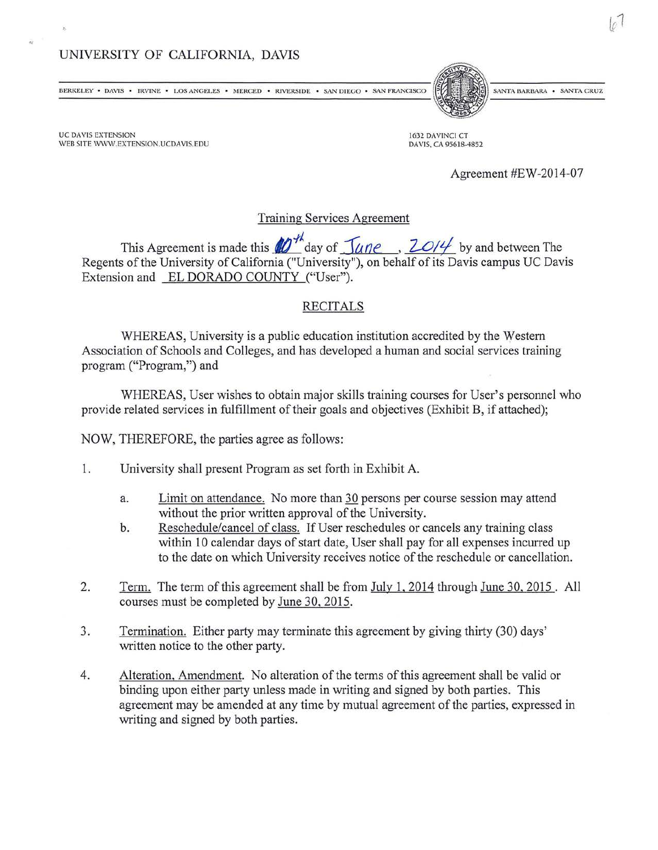## UNIVERSITY OF CALIFORNIA, DAVIS

**BERKELEY • DAVIS • IRVINE • LOS ANGELES • MERCED • RIVERSIDE • SAN DIEGO • SAN FRANCISCO** 

UC DAVIS EXTENSION WEB SITE WWW.EXTENSION.UCDAVIS.EDU

,,

1632 DAVINCI CT DAVIS, CA 95618-4852

Agreement #EW-2014-07

SANTA BARBARA . SANTA CRUZ

Training Services Agreement

This Agreement is made this  $\mathscr{M}^{\neq}$  day of  $\mathscr{I}^{\text{diag}}$ ,  $\mathscr{I}^{\text{diag}}$  by and between The Regents of the University of California ("University''), on behalf of its Davis campus UC Davis Extension and EL DORADO COUNTY ("User").

## RECITALS

WHEREAS, University is a public education institution accredited by the Western Association of Schools and Colleges, and has developed a human and social services training program ("Program,") and

WHEREAS, User wishes to obtain major skills training courses for User's personnel who provide related services in fulfillment of their goals and objectives (Exhibit B, if attached);

NOW, THEREFORE, the parties agree as follows:

- 1. University shall present Program as set forth in Exhibit A.
	- a. Limit on attendance. No more than 30 persons per course session may attend without the prior written approval of the University.
	- b. Reschedule/cancel of class. If User reschedules or cancels any training class within 10 calendar days of start date, User shall pay for all expenses incurred up to the date on which University receives notice of the reschedule or cancellation.
- 2. Term. The term of this agreement shall be from July 1, 2014 through June 30, 2015. All courses must be completed by June 30,2015.
- 3. Termination. Either party may terminate this agreement by giving thirty (30) days' written notice to the other party.
- 4. Alteration, Amendment. No alteration of the terms of this agreement shall be valid or binding upon either party unless made in writing and signed by both parties. This agreement may be amended at any time by mutual agreement of the parties, expressed in writing and signed by both parties.

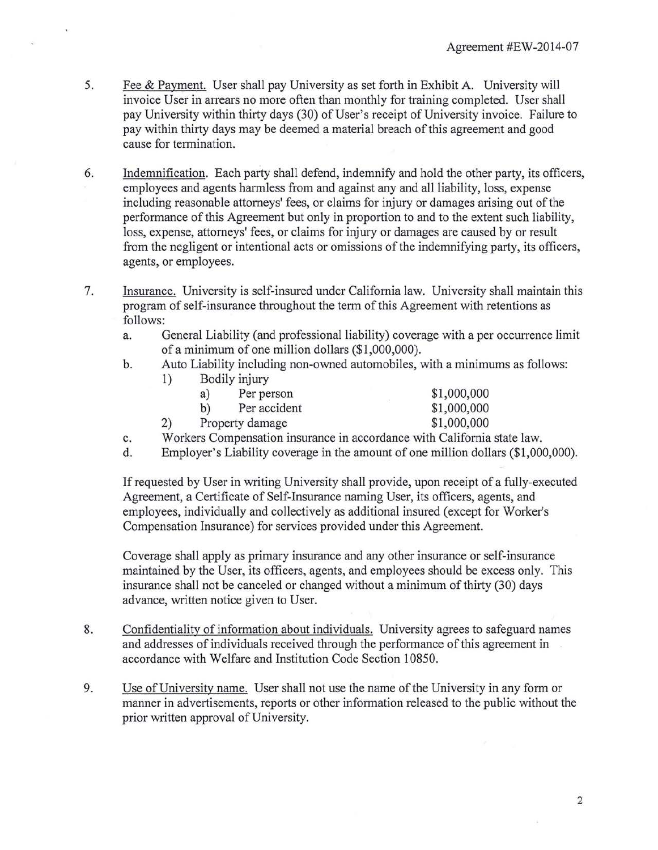- 5. Fee & Payment. User shall pay University as set forth in Exhibit A. University will invoice User in arrears no more often than monthly for training completed. User shall pay University within thirty days (30) of User's receipt of University invoice. Failure to pay within thirty days may be deemed a material breach of this agreement and good cause for termination.
- 6. Indemnification. Each party shall defend, indemnify and hold the other party, its officers, employees and agents harmless from and against any and all liability, loss, expense including reasonable attorneys' fees, or claims for injury or damages arising out of the performance of this Agreement but only in proportion to and to the extent such liability, loss, expense, attorneys' fees, or claims for injury or damages are caused by or result from the negligent or intentional acts or omissions of the indemnifying party, its officers, agents, or employees.
- 7. Insurance. University is self-insured under California law. University shall maintain this program of self-insurance throughout the term of this Agreement with retentions as follows:
	- a. General Liability (and professional liability) coverage with a per occurrence limit of a minimum of one million dollars (\$1 ,000,000).
	- b. Auto Liability including non-owned automobiles, with a minimums as follows:

| 1) | Bodily injury   |                                                              |             |
|----|-----------------|--------------------------------------------------------------|-------------|
|    | a)              | Per person                                                   | \$1,000,000 |
|    | b)              | Per accident                                                 | \$1,000,000 |
| 2) | Property damage |                                                              | \$1,000,000 |
|    |                 | Workers Compensation insurance in accordance with California |             |

- c. Workers Compensation insurance in accordance with California state law.
- d. Employer's Liability coverage in the amount of one million dollars (\$1 ,000,000).

If requested by User in writing University shall provide, upon receipt of a fully-executed Agreement, a Certificate of Self-Insurance naming User, its officers, agents, and employees, individually and collectively as additional insured (except for Worker's Compensation Insurance) for services provided under this Agreement.

Coverage shall apply as primary insurance and any other insurance or self-insurance maintained by the User, its officers, agents, and employees should be excess only. This insurance shall not be canceled or changed without a minimum of thirty (30) days advance, written notice given to User.

- 8. Confidentiality of information about individuals. University agrees to safeguard names and addresses of individuals received through the performance of this agreement in accordance with Welfare and Institution Code Section 10850.
- 9. Use ofUniversity name. User shall not use the name of the University in any fonn or manner in advertisements, reports or other information released to the public without the prior written approval of University.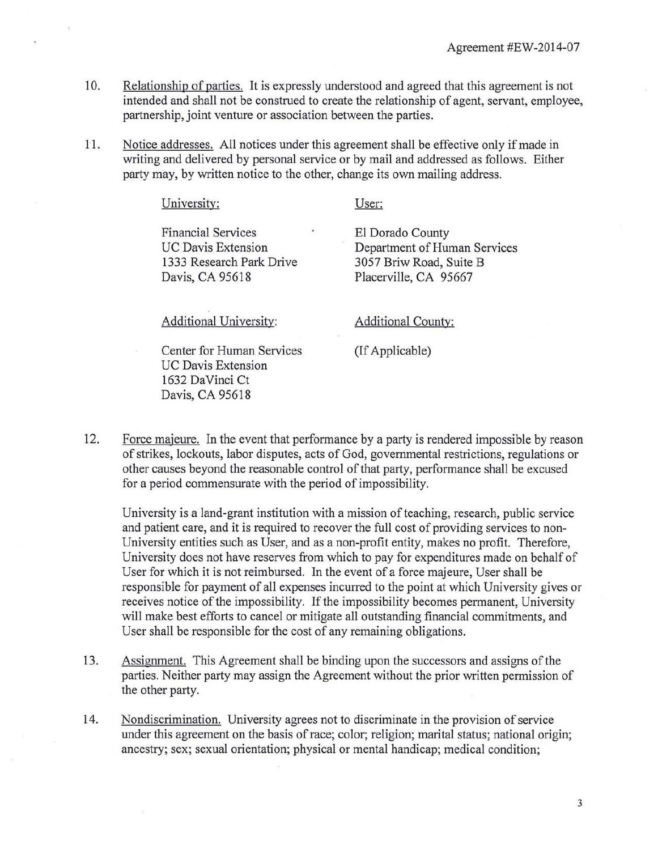- 10. Relationship of parties. It is expressly understood and agreed that this agreement is not intended and shall not be construed to create the relationship of agent, servant, employee, partnership, joint venture or association between the parties.
- 11. Notice addresses. All notices under this agreement shall be effective only if made in writing and delivered by personal service or by mail and addressed as follows. Either party may, by written notice to the other, change its own mailing address.

Financial Services UC Davis Extension 1333 Research Park Drive Davis, CA 95618

University:

User:

El Dorado County Department of Human Services 3057 Briw Road, Suite B Placerville, CA 95667

Additional University:

Center for Human Services UC Davis Extension 1632 DaVinci Ct Davis, CA 95618

Additional County:

(If Applicable)

12. Force majeure. In the event that performance by a party is rendered impossible by reason of strikes, lockouts, labor disputes, acts of God, governmental restrictions, regulations or other causes beyond the reasonable control of that party, performance shall be excused for a period commensurate with the period of impossibility.

University is a land-grant institution with a mission of teaching, research, public service and patient care, and it is required to recover the full cost of providing services to non-University entities such as User, and as a non-profit entity, makes no profit. Therefore, University does not have reserves from which to pay for expenditures made on behalf of User for which it is not reimbursed. In the event of a force majeure, User shall be responsible for payment of all expenses incurred to the point at which University gives or receives notice of the impossibility. If the impossibility becomes permanent, University will make best efforts to cancel or mitigate all outstanding financial commitments, and User shall be responsible for the cost of any remaining obligations.

- 13. Assignment. This Agreement shall be binding upon the successors and assigns of the parties. Neither party may assign the Agreement without the prior written permission of the other party.
- 14. Nondiscrimination. University agrees not to discriminate in the provision of service under this agreement on the basis of race; color; religion; marital status; national origin; ancestry; sex; sexual orientation; physical or mental handicap; medical condition;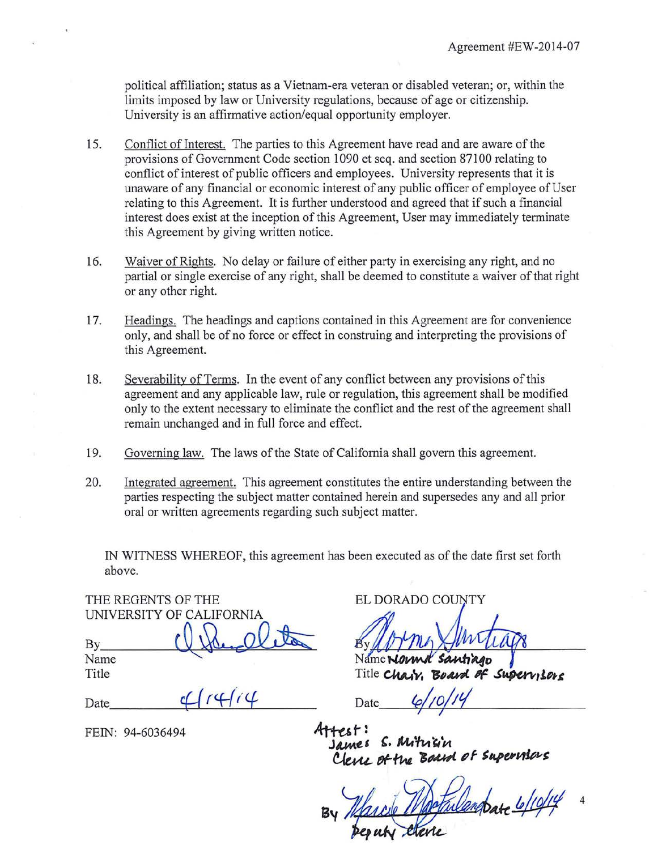political affiliation; status as a Vietnam-era veteran or disabled veteran; or, within the limits imposed by law or University regulations, because of age or citizenship. University is an affirmative action/equal opportunity employer.

- 15. Conflict of Interest. The parties to this Agreement have read and are aware of the provisions of Government Code section 1090 et seq. and section 871 00 relating to conflict of interest of public officers and employees. University represents that it is unaware of any financial or economic interest of any public officer of employee of User relating to this Agreement. It is further understood and agreed that if such a financial interest does exist at the inception of this Agreement, User may immediately terminate this Agreement by giving written notice.
- 16. Waiver of Rights. No delay or failure of either party in exercising any right, and no partial or single exercise of any right, shall be deemed to constitute a waiver of that right or any other right.
- 17. Headings. The headings and captions contained in this Agreement are for convenience only, and shall be of no force or effect in construing and interpreting the provisions of this Agreement.
- 18. Severability of Terms. In the event of any conflict between any provisions ofthis agreement and any applicable law, rule or regulation, this agreement shall be modified only to the extent necessary to eliminate the conflict and the rest of the agreement shall remain unchanged and in full force and effect.
- 19. Governing law. The laws of the State of California shall govern this agreement.
- 20. Integrated agreement. This agreement constitutes the entire understanding between the parties respecting the subject matter contained herein and supersedes any and all prior oral or written agreements regarding such subject matter.

IN WITNESS WHEREOF, this agreement has been executed as of the date first set forth above.

THE REGENTS OF THE UNIVERSITY OF CALIFORNIA  $Bv$  $\overline{a}$ ELIFORNIA By

Name Title

Title<br>Date\_\_\_\_\_\_\_\_\_\_<del>C</del>[r4f(4

FEIN: 94-6036494

ELDORADO COUNTY

Title Chair. Board of Supervisore

Date

James S. Mitrigin Clerce of the Board of Supervisor